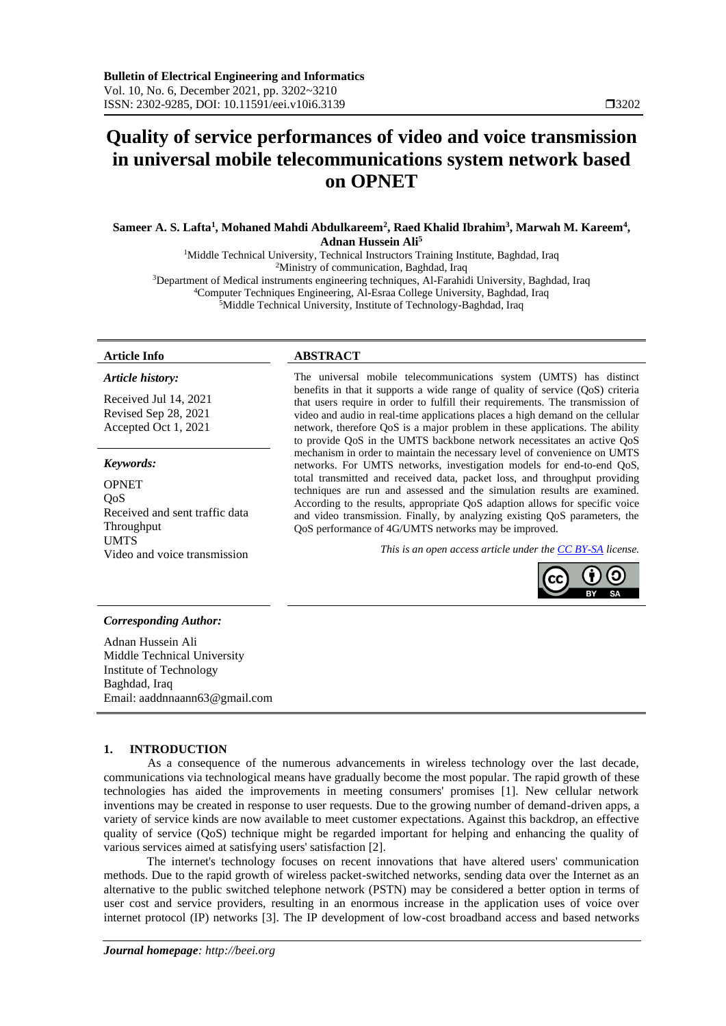# **Quality of service performances of video and voice transmission in universal mobile telecommunications system network based on OPNET**

**Sameer A. S. Lafta<sup>1</sup> , Mohaned Mahdi Abdulkareem<sup>2</sup> , Raed Khalid Ibrahim<sup>3</sup> , Marwah M. Kareem<sup>4</sup> , Adnan Hussein Ali<sup>5</sup>**

<sup>1</sup>Middle Technical University, Technical Instructors Training Institute, Baghdad, Iraq <sup>2</sup>Ministry of communication, Baghdad, Iraq <sup>3</sup>Department of Medical instruments engineering techniques, Al-Farahidi University, Baghdad, Iraq <sup>4</sup>Computer Techniques Engineering, Al-Esraa College University, Baghdad, Iraq <sup>5</sup>Middle Technical University, Institute of Technology-Baghdad, Iraq

# *Article history:*

Received Jul 14, 2021 Revised Sep 28, 2021 Accepted Oct 1, 2021

### *Keywords:*

OPNET QoS Received and sent traffic data Throughput UMTS<br>Video and voice transmission

### **Article Info ABSTRACT**

The universal mobile telecommunications system (UMTS) has distinct benefits in that it supports a wide range of quality of service (QoS) criteria that users require in order to fulfill their requirements. The transmission of video and audio in real-time applications places a high demand on the cellular network, therefore QoS is a major problem in these applications. The ability to provide QoS in the UMTS backbone network necessitates an active QoS mechanism in order to maintain the necessary level of convenience on UMTS networks. For UMTS networks, investigation models for end-to-end QoS, total transmitted and received data, packet loss, and throughput providing techniques are run and assessed and the simulation results are examined. According to the results, appropriate QoS adaption allows for specific voice and video transmission. Finally, by analyzing existing QoS parameters, the QoS performance of 4G/UMTS networks may be improved.

This is an open access article under th[e CC BY-SA](https://creativecommons.org/licenses/by-sa/4.0/) license.



### *Corresponding Author:*

Adnan Hussein Ali Middle Technical University Institute of Technology Baghdad, Iraq Email: aaddnnaann63@gmail.com

### **1. INTRODUCTION**

As a consequence of the numerous advancements in wireless technology over the last decade, communications via technological means have gradually become the most popular. The rapid growth of these technologies has aided the improvements in meeting consumers' promises [1]. New cellular network inventions may be created in response to user requests. Due to the growing number of demand-driven apps, a variety of service kinds are now available to meet customer expectations. Against this backdrop, an effective quality of service (QoS) technique might be regarded important for helping and enhancing the quality of various services aimed at satisfying users' satisfaction [2].

The internet's technology focuses on recent innovations that have altered users' communication methods. Due to the rapid growth of wireless packet-switched networks, sending data over the Internet as an alternative to the public switched telephone network (PSTN) may be considered a better option in terms of user cost and service providers, resulting in an enormous increase in the application uses of voice over internet protocol (IP) networks [3]. The IP development of low-cost broadband access and based networks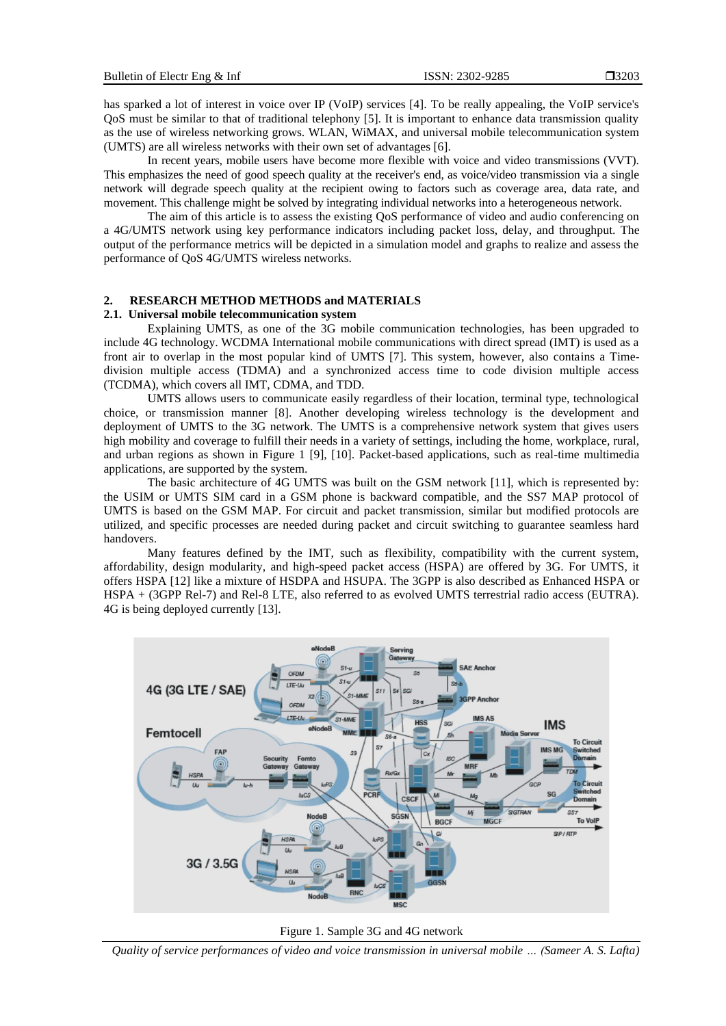has sparked a lot of interest in voice over IP (VoIP) services [4]. To be really appealing, the VoIP service's QoS must be similar to that of traditional telephony [5]. It is important to enhance data transmission quality as the use of wireless networking grows. WLAN, WiMAX, and universal mobile telecommunication system (UMTS) are all wireless networks with their own set of advantages [6].

In recent years, mobile users have become more flexible with voice and video transmissions (VVT). This emphasizes the need of good speech quality at the receiver's end, as voice/video transmission via a single network will degrade speech quality at the recipient owing to factors such as coverage area, data rate, and movement. This challenge might be solved by integrating individual networks into a heterogeneous network.

The aim of this article is to assess the existing QoS performance of video and audio conferencing on a 4G/UMTS network using key performance indicators including packet loss, delay, and throughput. The output of the performance metrics will be depicted in a simulation model and graphs to realize and assess the performance of QoS 4G/UMTS wireless networks.

# **2. RESEARCH METHOD METHODS and MATERIALS**

# **2.1. Universal mobile telecommunication system**

Explaining UMTS, as one of the 3G mobile communication technologies, has been upgraded to include 4G technology. WCDMA International mobile communications with direct spread (IMT) is used as a front air to overlap in the most popular kind of UMTS [7]. This system, however, also contains a Timedivision multiple access (TDMA) and a synchronized access time to code division multiple access (TCDMA), which covers all IMT, CDMA, and TDD.

UMTS allows users to communicate easily regardless of their location, terminal type, technological choice, or transmission manner [8]. Another developing wireless technology is the development and deployment of UMTS to the 3G network. The UMTS is a comprehensive network system that gives users high mobility and coverage to fulfill their needs in a variety of settings, including the home, workplace, rural, and urban regions as shown in Figure 1 [9], [10]. Packet-based applications, such as real-time multimedia applications, are supported by the system.

The basic architecture of 4G UMTS was built on the GSM network [11], which is represented by: the USIM or UMTS SIM card in a GSM phone is backward compatible, and the SS7 MAP protocol of UMTS is based on the GSM MAP. For circuit and packet transmission, similar but modified protocols are utilized, and specific processes are needed during packet and circuit switching to guarantee seamless hard handovers.

Many features defined by the IMT, such as flexibility, compatibility with the current system, affordability, design modularity, and high-speed packet access (HSPA) are offered by 3G. For UMTS, it offers HSPA [12] like a mixture of HSDPA and HSUPA. The 3GPP is also described as Enhanced HSPA or HSPA + (3GPP Rel-7) and Rel-8 LTE, also referred to as evolved UMTS terrestrial radio access (EUTRA). 4G is being deployed currently [13].



Figure 1. Sample 3G and 4G network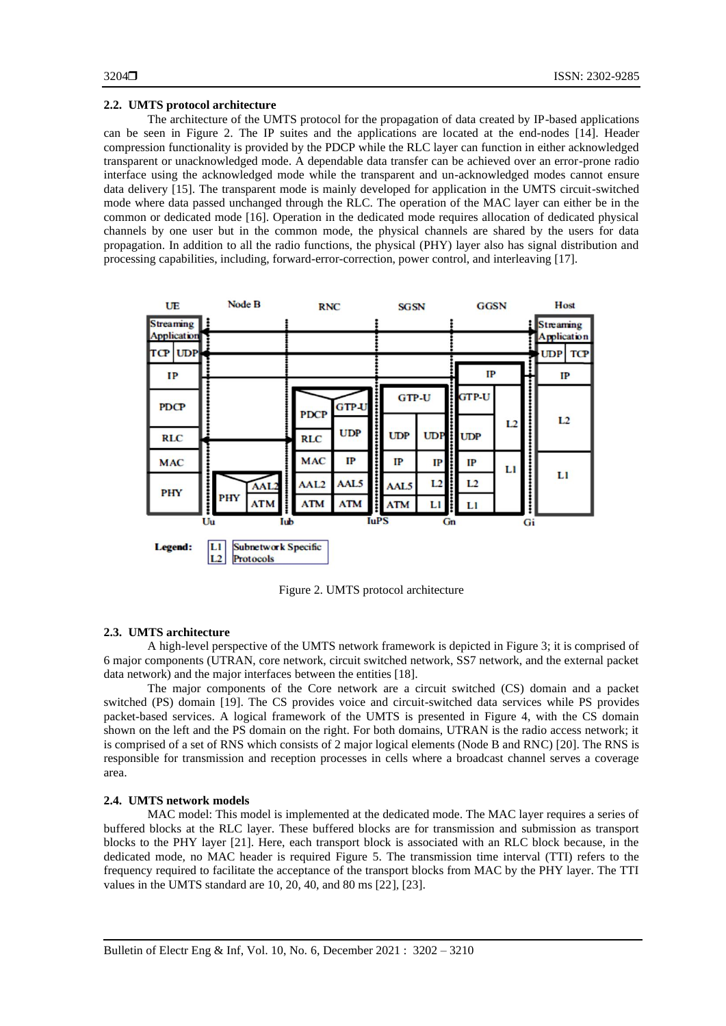# **2.2. UMTS protocol architecture**

The architecture of the UMTS protocol for the propagation of data created by IP-based applications can be seen in Figure 2. The IP suites and the applications are located at the end-nodes [14]. Header compression functionality is provided by the PDCP while the RLC layer can function in either acknowledged transparent or unacknowledged mode. A dependable data transfer can be achieved over an error-prone radio interface using the acknowledged mode while the transparent and un-acknowledged modes cannot ensure data delivery [15]. The transparent mode is mainly developed for application in the UMTS circuit-switched mode where data passed unchanged through the RLC. The operation of the MAC layer can either be in the common or dedicated mode [16]. Operation in the dedicated mode requires allocation of dedicated physical channels by one user but in the common mode, the physical channels are shared by the users for data propagation. In addition to all the radio functions, the physical (PHY) layer also has signal distribution and processing capabilities, including, forward-error-correction, power control, and interleaving [17].

| UE                                     | Node B                                       | <b>RNC</b>       |              |             | <b>SGSN</b>  |      | <b>GGSN</b>  |    |    | Host                                   |            |
|----------------------------------------|----------------------------------------------|------------------|--------------|-------------|--------------|------|--------------|----|----|----------------------------------------|------------|
| <b>Streaming</b><br><b>Application</b> |                                              |                  |              |             |              |      |              |    |    | <b>Streaming</b><br><b>Application</b> |            |
| <b>UDP</b><br><b>TCP</b>               |                                              |                  |              |             |              |      |              |    |    | <b>UDP</b>                             | <b>TCP</b> |
| IP                                     |                                              |                  |              |             |              |      | IP           |    | т  | IP                                     |            |
| <b>PDCP</b>                            |                                              | <b>PDCP</b>      | <b>GTP-U</b> |             | <b>GTP-U</b> |      | <b>GTP-U</b> |    |    |                                        |            |
| <b>RLC</b>                             |                                              | <b>RLC</b>       | <b>UDP</b>   |             | <b>UDP</b>   | UDP: | <b>UDP</b>   | L2 |    | L2                                     |            |
| <b>MAC</b>                             |                                              | <b>MAC</b>       | IP           |             | IP           | IP   | IP           | L1 |    |                                        |            |
| PHY                                    | AAL <sub>2</sub>                             | AAL <sub>2</sub> | AAL5         |             | AAL5         | L2   | L2           |    |    | L1                                     |            |
|                                        | <b>PHY</b><br><b>ATM</b>                     | <b>ATM</b>       | <b>ATM</b>   |             | <b>ATM</b>   | LI   | LI           |    |    |                                        |            |
|                                        | Uu                                           | Iub              |              | <b>IuPS</b> |              | Gn   |              |    | Gi |                                        |            |
| Legend:                                | L1<br>Subnetwork Specific<br>L2<br>Protocols |                  |              |             |              |      |              |    |    |                                        |            |

Figure 2. UMTS protocol architecture

### **2.3. UMTS architecture**

A high-level perspective of the UMTS network framework is depicted in Figure 3; it is comprised of 6 major components (UTRAN, core network, circuit switched network, SS7 network, and the external packet data network) and the major interfaces between the entities [18].

The major components of the Core network are a circuit switched (CS) domain and a packet switched (PS) domain [19]. The CS provides voice and circuit-switched data services while PS provides packet-based services. A logical framework of the UMTS is presented in Figure 4, with the CS domain shown on the left and the PS domain on the right. For both domains, UTRAN is the radio access network; it is comprised of a set of RNS which consists of 2 major logical elements (Node B and RNC) [20]. The RNS is responsible for transmission and reception processes in cells where a broadcast channel serves a coverage area.

### **2.4. UMTS network models**

MAC model: This model is implemented at the dedicated mode. The MAC layer requires a series of buffered blocks at the RLC layer. These buffered blocks are for transmission and submission as transport blocks to the PHY layer [21]. Here, each transport block is associated with an RLC block because, in the dedicated mode, no MAC header is required Figure 5. The transmission time interval (TTI) refers to the frequency required to facilitate the acceptance of the transport blocks from MAC by the PHY layer. The TTI values in the UMTS standard are 10, 20, 40, and 80 ms [22], [23].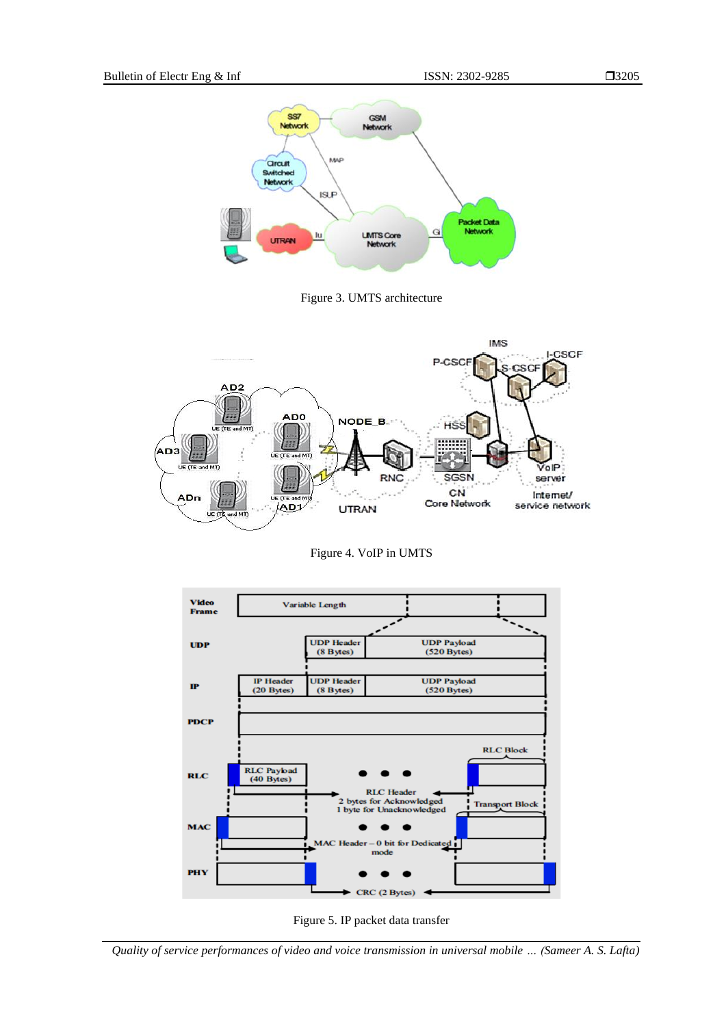3205



Figure 3. UMTS architecture



Figure 4. VoIP in UMTS



Figure 5. IP packet data transfer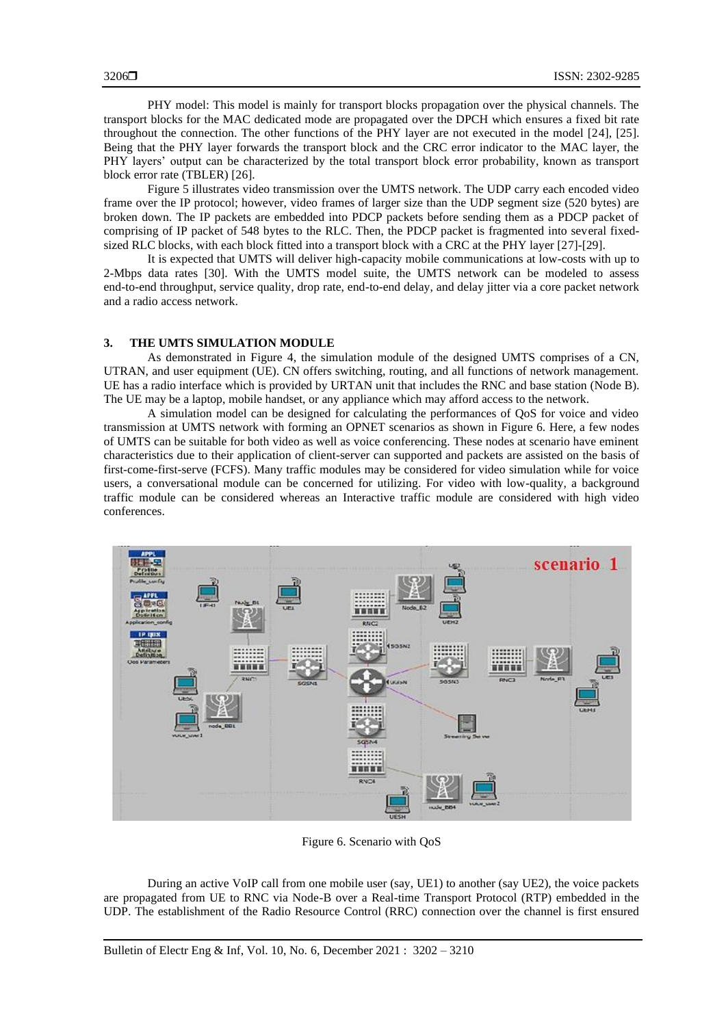PHY model: This model is mainly for transport blocks propagation over the physical channels. The transport blocks for the MAC dedicated mode are propagated over the DPCH which ensures a fixed bit rate throughout the connection. The other functions of the PHY layer are not executed in the model [24], [25]. Being that the PHY layer forwards the transport block and the CRC error indicator to the MAC layer, the PHY layers' output can be characterized by the total transport block error probability, known as transport block error rate (TBLER) [26].

Figure 5 illustrates video transmission over the UMTS network. The UDP carry each encoded video frame over the IP protocol; however, video frames of larger size than the UDP segment size (520 bytes) are broken down. The IP packets are embedded into PDCP packets before sending them as a PDCP packet of comprising of IP packet of 548 bytes to the RLC. Then, the PDCP packet is fragmented into several fixedsized RLC blocks, with each block fitted into a transport block with a CRC at the PHY layer [27]-[29].

It is expected that UMTS will deliver high-capacity mobile communications at low-costs with up to 2-Mbps data rates [30]. With the UMTS model suite, the UMTS network can be modeled to assess end-to-end throughput, service quality, drop rate, end-to-end delay, and delay jitter via a core packet network and a radio access network.

# **3. THE UMTS SIMULATION MODULE**

As demonstrated in Figure 4, the simulation module of the designed UMTS comprises of a CN, UTRAN, and user equipment (UE). CN offers switching, routing, and all functions of network management. UE has a radio interface which is provided by URTAN unit that includes the RNC and base station (Node B). The UE may be a laptop, mobile handset, or any appliance which may afford access to the network.

A simulation model can be designed for calculating the performances of QoS for voice and video transmission at UMTS network with forming an OPNET scenarios as shown in Figure 6. Here, a few nodes of UMTS can be suitable for both video as well as voice conferencing. These nodes at scenario have eminent characteristics due to their application of client-server can supported and packets are assisted on the basis of first-come-first-serve (FCFS). Many traffic modules may be considered for video simulation while for voice users, a conversational module can be concerned for utilizing. For video with low-quality, a background traffic module can be considered whereas an Interactive traffic module are considered with high video conferences.



Figure 6. Scenario with QoS

During an active VoIP call from one mobile user (say, UE1) to another (say UE2), the voice packets are propagated from UE to RNC via Node-B over a Real-time Transport Protocol (RTP) embedded in the UDP. The establishment of the Radio Resource Control (RRC) connection over the channel is first ensured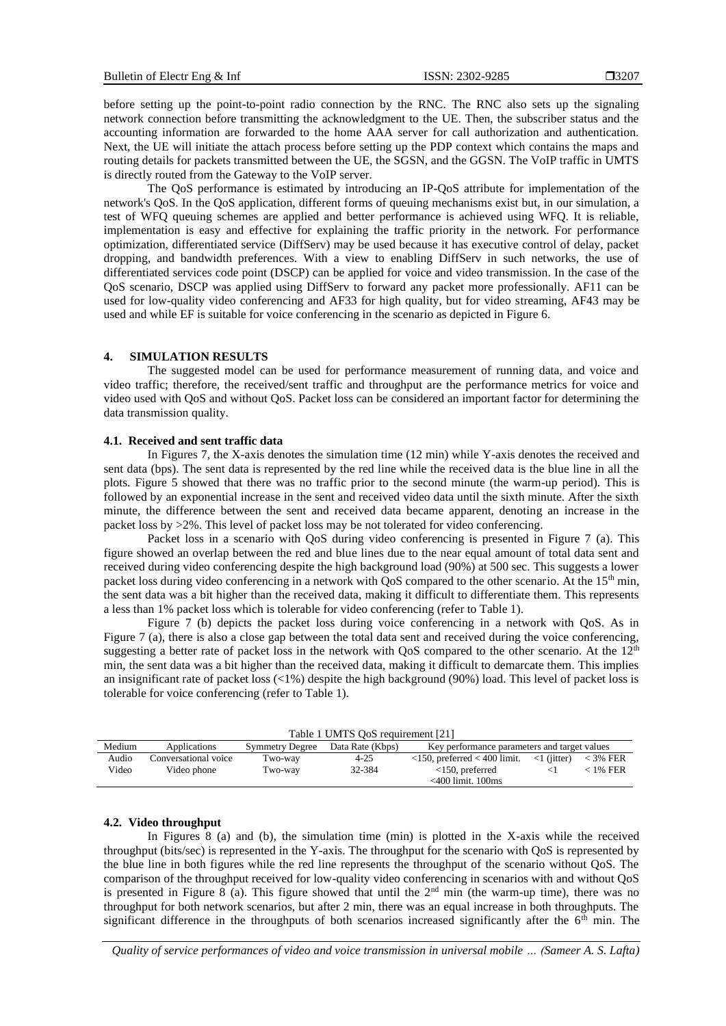before setting up the point-to-point radio connection by the RNC. The RNC also sets up the signaling network connection before transmitting the acknowledgment to the UE. Then, the subscriber status and the accounting information are forwarded to the home AAA server for call authorization and authentication. Next, the UE will initiate the attach process before setting up the PDP context which contains the maps and routing details for packets transmitted between the UE, the SGSN, and the GGSN. The VoIP traffic in UMTS is directly routed from the Gateway to the VoIP server.

The QoS performance is estimated by introducing an IP-QoS attribute for implementation of the network's QoS. In the QoS application, different forms of queuing mechanisms exist but, in our simulation, a test of WFQ queuing schemes are applied and better performance is achieved using WFQ. It is reliable, implementation is easy and effective for explaining the traffic priority in the network. For performance optimization, differentiated service (DiffServ) may be used because it has executive control of delay, packet dropping, and bandwidth preferences. With a view to enabling DiffServ in such networks, the use of differentiated services code point (DSCP) can be applied for voice and video transmission. In the case of the QoS scenario, DSCP was applied using DiffServ to forward any packet more professionally. AF11 can be used for low-quality video conferencing and AF33 for high quality, but for video streaming, AF43 may be used and while EF is suitable for voice conferencing in the scenario as depicted in Figure 6.

# **4. SIMULATION RESULTS**

The suggested model can be used for performance measurement of running data, and voice and video traffic; therefore, the received/sent traffic and throughput are the performance metrics for voice and video used with QoS and without QoS. Packet loss can be considered an important factor for determining the data transmission quality.

#### **4.1. Received and sent traffic data**

In Figures 7, the X-axis denotes the simulation time (12 min) while Y-axis denotes the received and sent data (bps). The sent data is represented by the red line while the received data is the blue line in all the plots. Figure 5 showed that there was no traffic prior to the second minute (the warm-up period). This is followed by an exponential increase in the sent and received video data until the sixth minute. After the sixth minute, the difference between the sent and received data became apparent, denoting an increase in the packet loss by >2%. This level of packet loss may be not tolerated for video conferencing.

Packet loss in a scenario with QoS during video conferencing is presented in Figure 7 (a). This figure showed an overlap between the red and blue lines due to the near equal amount of total data sent and received during video conferencing despite the high background load (90%) at 500 sec. This suggests a lower packet loss during video conferencing in a network with OoS compared to the other scenario. At the 15<sup>th</sup> min, the sent data was a bit higher than the received data, making it difficult to differentiate them. This represents a less than 1% packet loss which is tolerable for video conferencing (refer to Table 1).

Figure 7 (b) depicts the packet loss during voice conferencing in a network with QoS. As in Figure 7 (a), there is also a close gap between the total data sent and received during the voice conferencing, suggesting a better rate of packet loss in the network with QoS compared to the other scenario. At the 12<sup>th</sup> min, the sent data was a bit higher than the received data, making it difficult to demarcate them. This implies an insignificant rate of packet loss (<1%) despite the high background (90%) load. This level of packet loss is tolerable for voice conferencing (refer to Table 1).

| Table 1 UMTS OoS requirement [21] |                      |                        |                  |                                              |                              |            |  |  |  |  |  |
|-----------------------------------|----------------------|------------------------|------------------|----------------------------------------------|------------------------------|------------|--|--|--|--|--|
| Medium                            | Applications         | <b>Symmetry Degree</b> | Data Rate (Kbps) | Key performance parameters and target values |                              |            |  |  |  |  |  |
| Audio                             | Conversational voice | Two-way                | $4 - 25$         | $<$ 150, preferred $<$ 400 limit.            | $\langle 1 \rangle$ (jitter) | $<$ 3% FER |  |  |  |  |  |
| Video                             | Video phone          | Two-way                | 32-384           | $<$ 150, preferred                           | $\leq$ 1                     | $<$ 1% FER |  |  |  |  |  |
|                                   |                      |                        |                  | $<$ 400 limit. 100 $<$ ns                    |                              |            |  |  |  |  |  |

#### **4.2. Video throughput**

In Figures 8 (a) and (b), the simulation time (min) is plotted in the X-axis while the received throughput (bits/sec) is represented in the Y-axis. The throughput for the scenario with QoS is represented by the blue line in both figures while the red line represents the throughput of the scenario without QoS. The comparison of the throughput received for low-quality video conferencing in scenarios with and without QoS is presented in Figure 8 (a). This figure showed that until the  $2<sup>nd</sup>$  min (the warm-up time), there was no throughput for both network scenarios, but after 2 min, there was an equal increase in both throughputs. The significant difference in the throughputs of both scenarios increased significantly after the  $6<sup>th</sup>$  min. The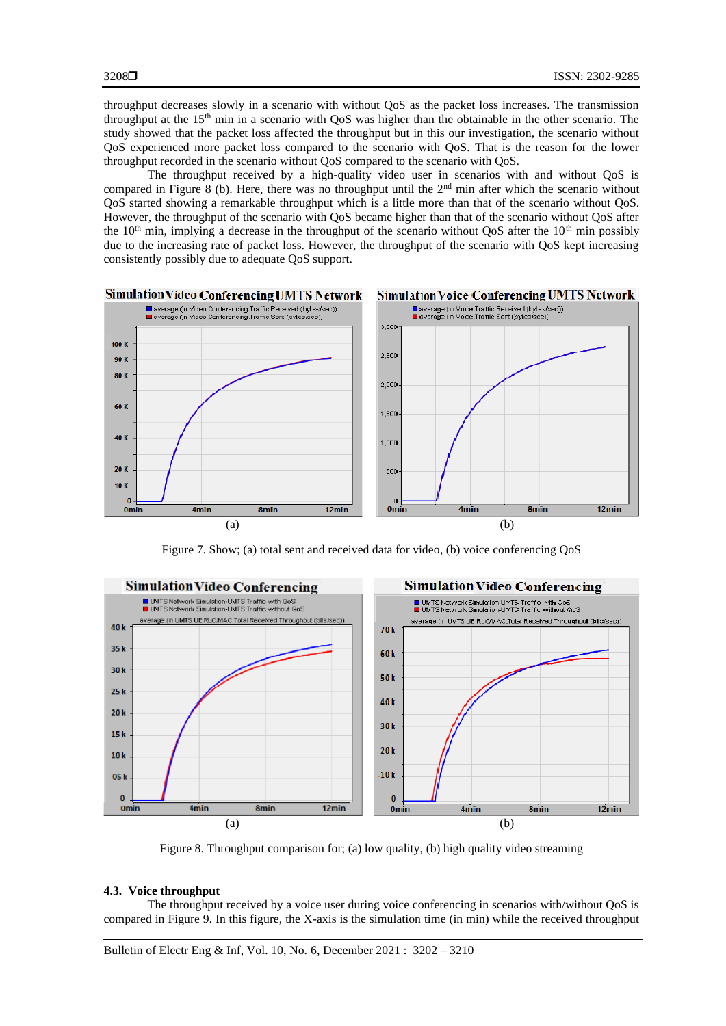throughput decreases slowly in a scenario with without QoS as the packet loss increases. The transmission throughput at the 15<sup>th</sup> min in a scenario with QoS was higher than the obtainable in the other scenario. The study showed that the packet loss affected the throughput but in this our investigation, the scenario without QoS experienced more packet loss compared to the scenario with QoS. That is the reason for the lower throughput recorded in the scenario without QoS compared to the scenario with QoS.

The throughput received by a high-quality video user in scenarios with and without QoS is compared in Figure 8 (b). Here, there was no throughput until the 2<sup>nd</sup> min after which the scenario without QoS started showing a remarkable throughput which is a little more than that of the scenario without QoS. However, the throughput of the scenario with QoS became higher than that of the scenario without QoS after the  $10<sup>th</sup>$  min, implying a decrease in the throughput of the scenario without QoS after the  $10<sup>th</sup>$  min possibly due to the increasing rate of packet loss. However, the throughput of the scenario with QoS kept increasing consistently possibly due to adequate QoS support.



Figure 7. Show; (a) total sent and received data for video, (b) voice conferencing QoS



Figure 8. Throughput comparison for; (a) low quality, (b) high quality video streaming

# **4.3. Voice throughput**

The throughput received by a voice user during voice conferencing in scenarios with/without QoS is compared in Figure 9. In this figure, the X-axis is the simulation time (in min) while the received throughput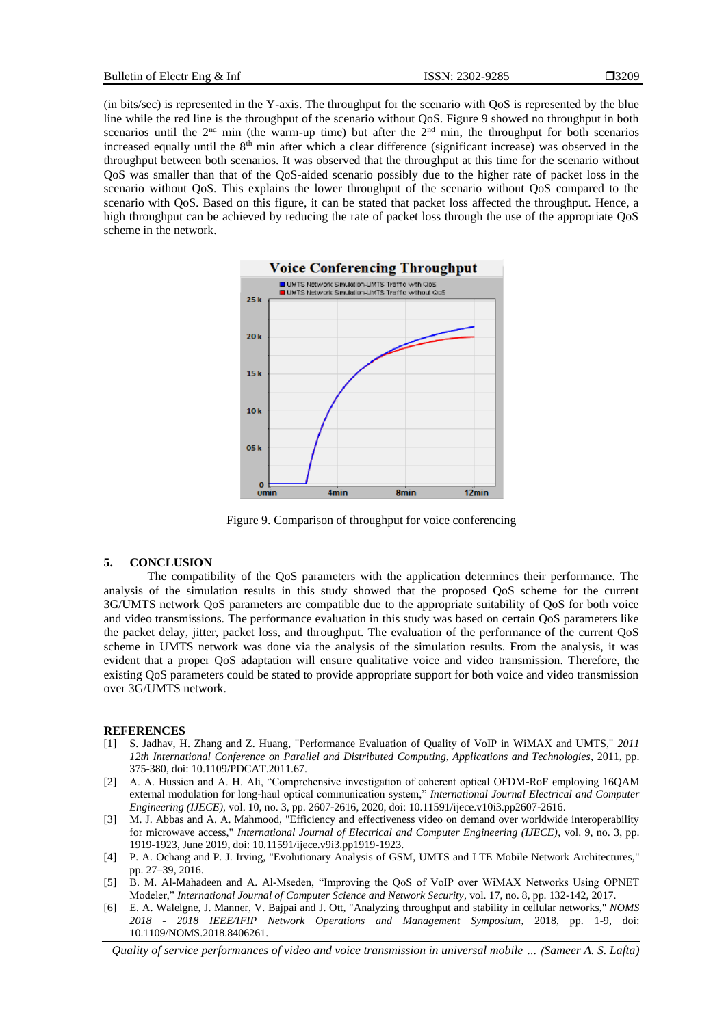(in bits/sec) is represented in the Y-axis. The throughput for the scenario with QoS is represented by the blue line while the red line is the throughput of the scenario without QoS. Figure 9 showed no throughput in both scenarios until the  $2<sup>nd</sup>$  min (the warm-up time) but after the  $2<sup>nd</sup>$  min, the throughput for both scenarios increased equally until the 8<sup>th</sup> min after which a clear difference (significant increase) was observed in the throughput between both scenarios. It was observed that the throughput at this time for the scenario without QoS was smaller than that of the QoS-aided scenario possibly due to the higher rate of packet loss in the scenario without QoS. This explains the lower throughput of the scenario without QoS compared to the scenario with QoS. Based on this figure, it can be stated that packet loss affected the throughput. Hence, a high throughput can be achieved by reducing the rate of packet loss through the use of the appropriate QoS scheme in the network.



Figure 9. Comparison of throughput for voice conferencing

#### **5. CONCLUSION**

The compatibility of the QoS parameters with the application determines their performance. The analysis of the simulation results in this study showed that the proposed QoS scheme for the current 3G/UMTS network QoS parameters are compatible due to the appropriate suitability of QoS for both voice and video transmissions. The performance evaluation in this study was based on certain QoS parameters like the packet delay, jitter, packet loss, and throughput. The evaluation of the performance of the current QoS scheme in UMTS network was done via the analysis of the simulation results. From the analysis, it was evident that a proper QoS adaptation will ensure qualitative voice and video transmission. Therefore, the existing QoS parameters could be stated to provide appropriate support for both voice and video transmission over 3G/UMTS network.

#### **REFERENCES**

- [1] S. Jadhav, H. Zhang and Z. Huang, "Performance Evaluation of Quality of VoIP in WiMAX and UMTS," *2011 12th International Conference on Parallel and Distributed Computing, Applications and Technologies*, 2011, pp. 375-380, doi: 10.1109/PDCAT.2011.67.
- [2] A. A. Hussien and A. H. Ali, "Comprehensive investigation of coherent optical OFDM-RoF employing 16QAM external modulation for long-haul optical communication system," *International Journal Electrical and Computer Engineering (IJECE)*, vol. 10, no. 3, pp. 2607-2616, 2020, doi[: 10.11591/ijece.v10i3.pp2607-2616.](http://doi.org/10.11591/ijece.v10i3.pp2607-2616)
- [3] M. J. Abbas and A. A. Mahmood, "Efficiency and effectiveness video on demand over worldwide interoperability for microwave access," *International Journal of Electrical and Computer Engineering (IJECE)*, vol. 9, no. 3, pp. 1919-1923, June 2019, doi: 10.11591/ijece.v9i3.pp1919-1923.
- [4] P. A. Ochang and P. J. Irving, "Evolutionary Analysis of GSM, UMTS and LTE Mobile Network Architectures," pp. 27–39, 2016.
- [5] B. M. Al-Mahadeen and A. Al-Mseden, "Improving the QoS of VoIP over WiMAX Networks Using OPNET Modeler," *International Journal of Computer Science and Network Security*, vol. 17, no. 8, pp. 132-142, 2017.
- [6] E. A. Walelgne, J. Manner, V. Bajpai and J. Ott, "Analyzing throughput and stability in cellular networks," *NOMS 2018 - 2018 IEEE/IFIP Network Operations and Management Symposium*, 2018, pp. 1-9, doi: 10.1109/NOMS.2018.8406261.